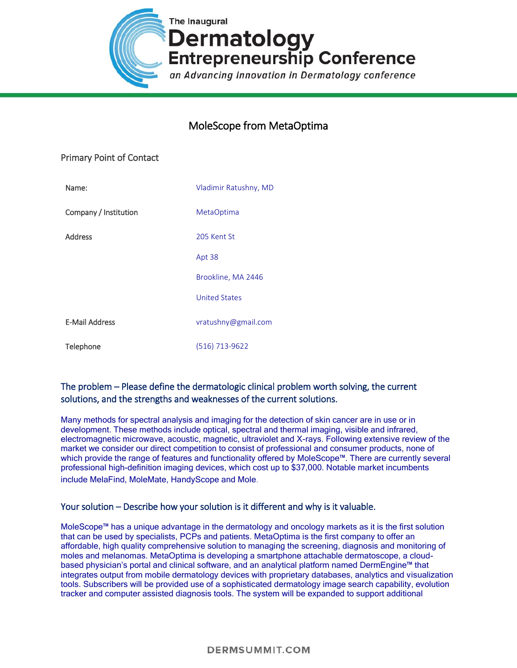

# MoleScope from MetaOptima

### Primary Point of Contact

| Name:                 | Vladimir Ratushny, MD |
|-----------------------|-----------------------|
| Company / Institution | MetaOptima            |
| <b>Address</b>        | 205 Kent St           |
|                       | Apt 38                |
|                       | Brookline, MA 2446    |
|                       | <b>United States</b>  |
| <b>E-Mail Address</b> | vratushny@gmail.com   |
| Telephone             | (516) 713-9622        |

## The problem – Please define the dermatologic clinical problem worth solving, the current solutions, and the strengths and weaknesses of the current solutions.

Many methods for spectral analysis and imaging for the detection of skin cancer are in use or in development. These methods include optical, spectral and thermal imaging, visible and infrared, electromagnetic microwave, acoustic, magnetic, ultraviolet and X-rays. Following extensive review of the market we consider our direct competition to consist of professional and consumer products, none of which provide the range of features and functionality offered by MoleScope<sup>™</sup>. There are currently several professional high-definition imaging devices, which cost up to \$37,000. Notable market incumbents include MelaFind, MoleMate, HandyScope and Mole.

#### Your solution – Describe how your solution is it different and why is it valuable.

MoleScope™ has a unique advantage in the dermatology and oncology markets as it is the first solution that can be used by specialists, PCPs and patients. MetaOptima is the first company to offer an affordable, high quality comprehensive solution to managing the screening, diagnosis and monitoring of moles and melanomas. MetaOptima is developing a smartphone attachable dermatoscope, a cloudbased physician's portal and clinical software, and an analytical platform named DermEngine™ that integrates output from mobile dermatology devices with proprietary databases, analytics and visualization tools. Subscribers will be provided use of a sophisticated dermatology image search capability, evolution tracker and computer assisted diagnosis tools. The system will be expanded to support additional

#### DERMSUMMIT.COM